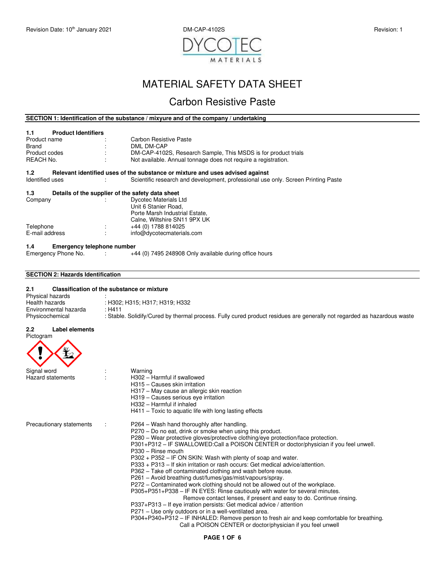

# MATERIAL SAFETY DATA SHEET

# Carbon Resistive Paste

# **SECTION 1: Identification of the substance / mixyure and of the company / undertaking**

# **1.1 Product Identifiers**  Product name : Carbon Resistive Paste Brand : DML DM-CAP<br>Product codes : DM-CAP-4102 Product codes : DM-CAP-4102S, Research Sample, This MSDS is for product trials<br>REACH No. : Not available. Annual tonnage does not require a registration. Reach Not available. Annual tonnage does not require a registration. **1.2** Relevant identified uses of the substance or mixture and uses advised against Identified uses **Scientific research** and development, professional use Scientific research and development, professional use only. Screen Printing Paste **1.3 Details of the supplier of the safety data sheet** Company<br>
Dycotec Materials L : Dycotec Materials Ltd Unit 6 Stanier Road, Porte Marsh Industrial Estate, Calne, Wiltshire SN11 9PX UK Telephone : +44 (0) 1788 814025<br>
E-mail address : info@dycotecmateria  $info@d$ ycotecmaterials.com

#### **1.4 Emergency telephone number**

| Emergency Phone No. |  | +44 (0) 7495 248908 Only available during office hours |
|---------------------|--|--------------------------------------------------------|
|---------------------|--|--------------------------------------------------------|

#### **SECTION 2: Hazards Identification**

| 2.1                   | Classification of the substance or mixture |                                                                                                                         |  |
|-----------------------|--------------------------------------------|-------------------------------------------------------------------------------------------------------------------------|--|
| Physical hazards      |                                            |                                                                                                                         |  |
| Health hazards        |                                            | : H302: H315: H317: H319: H332                                                                                          |  |
| Environmental hazarda |                                            | : H411                                                                                                                  |  |
| Physicochemical       |                                            | : Stable. Solidify/Cured by thermal process. Fully cured product residues are generally not regarded as hazardous waste |  |

#### **2.2 Label elements**  Pictogram

| Signal word              | Warning                                                                                                                                         |
|--------------------------|-------------------------------------------------------------------------------------------------------------------------------------------------|
| <b>Hazard statements</b> | H302 - Harmful if swallowed                                                                                                                     |
|                          | H315 - Causes skin irritation                                                                                                                   |
|                          | H317 - May cause an allergic skin reaction                                                                                                      |
|                          | H319 – Causes serious eye irritation                                                                                                            |
|                          | H332 - Harmful if inhaled                                                                                                                       |
|                          | $H411$ – Toxic to aquatic life with long lasting effects                                                                                        |
| Precautionary statements | P264 – Wash hand thoroughly after handling.                                                                                                     |
|                          | P270 – Do no eat, drink or smoke when using this product.                                                                                       |
|                          | P280 – Wear protective gloves/protective clothing/eye protection/face protection.                                                               |
|                          | P301+P312 – IF SWALLOWED:Call a POISON CENTER or doctor/physician if you feel unwell.                                                           |
|                          | P330 - Rinse mouth                                                                                                                              |
|                          | P302 + P352 – IF ON SKIN: Wash with plenty of soap and water.<br>P333 + P313 – If skin irritation or rash occurs: Get medical advice/attention. |
|                          |                                                                                                                                                 |
|                          | P362 – Take off contaminated clothing and wash before reuse.<br>P261 - Avoid breathing dust/fumes/gas/mist/vapours/spray.                       |
|                          | P272 – Contaminated work clothing should not be allowed out of the workplace.                                                                   |
|                          | P305+P351+P338 - IF IN EYES: Rinse cautiously with water for several minutes.                                                                   |
|                          | Remove contact lenses, if present and easy to do. Continue rinsing.                                                                             |
|                          | P337+P313 – If eye irration persists: Get medical advice / attention                                                                            |
|                          | P271 - Use only outdoors or in a well-ventilated area.                                                                                          |
|                          | P304+P340+P312 - IF INHALED: Remove person to fresh air and keep comfortable for breathing.                                                     |
|                          | Call a POISON CENTER or doctor/physician if you feel unwell                                                                                     |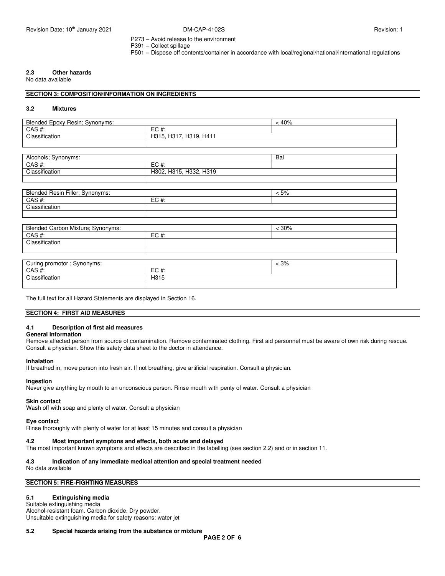P273 – Avoid release to the environment

P391 – Collect spillage

P501 – Dispose off contents/container in accordance with local/regional/national/international regulations

# **2.3 Other hazards**

No data available

# **SECTION 3: COMPOSITION/INFORMATION ON INGREDIENTS**

#### **3.2 Mixtures**

| <b>Blended Epoxy</b><br>∽<br>Synonyms:<br>Hesin; |                                                            | 40% |
|--------------------------------------------------|------------------------------------------------------------|-----|
| CAS#:                                            | $EC#$ :                                                    |     |
| Classification                                   | $104-$<br>H41<br>101<br>H315<br>ו טו<br>. סוטו.<br>$\cdot$ |     |
|                                                  |                                                            |     |

| Alcohols: Synonyms:                                               |  | Bal |
|-------------------------------------------------------------------|--|-----|
| CAS#:<br>$EC#$ :                                                  |  |     |
| H315,<br>H319<br>Classification<br><b>LISSO</b><br>H302,<br>. کان |  |     |
|                                                                   |  |     |

| HResin Filler; Synonyms:<br>Blended |                                 | :5% |
|-------------------------------------|---------------------------------|-----|
| $CAC +$<br>UAJ #.                   | $\subset$ C. # $\cdot$<br>LV #. |     |
| Classification                      |                                 |     |
|                                     |                                 |     |

| Blended Carbon Mixture; Synonyms:          |     | < 30%      |  |  |
|--------------------------------------------|-----|------------|--|--|
| CAS#:                                      | EC# |            |  |  |
| Classification                             |     |            |  |  |
|                                            |     |            |  |  |
|                                            |     |            |  |  |
| $\Gamma$ Curing promotor $\Gamma$ Cunonumo |     | 20/<br>. . |  |  |

| $\sim$<br>Synonyms:<br>promotor<br>$\cdots$<br>"III"<br>vu |                 | 3% |
|------------------------------------------------------------|-----------------|----|
| $\bigcap$ $\bigcap$<br>unu                                 | $-$<br>π.<br>∼∟ |    |
| $\cdots$<br>$\bigcap_{n\in\mathbb{N}}$<br>issitication     | H315            |    |
|                                                            |                 |    |

The full text for all Hazard Statements are displayed in Section 16.

# **SECTION 4: FIRST AID MEASURES**

# **4.1 Description of first aid measures**

#### **General information**

Remove affected person from source of contamination. Remove contaminated clothing. First aid personnel must be aware of own risk during rescue. Consult a physician. Show this safety data sheet to the doctor in attendance.

# **Inhalation**

**Ingestion** 

If breathed in, move person into fresh air. If not breathing, give artificial respiration. Consult a physician.

# Never give anything by mouth to an unconscious person. Rinse mouth with penty of water. Consult a physician

### **Skin contact**

Wash off with soap and plenty of water. Consult a physician

#### **Eye contact**

Rinse thoroughly with plenty of water for at least 15 minutes and consult a physician

#### **4.2 Most important symptons and effects, both acute and delayed**

The most important known symptoms and effects are described in the labelling (see section 2.2) and or in section 11.

#### **4.3 Indication of any immediate medical attention and special treatment needed**

No data available

# **SECTION 5: FIRE-FIGHTING MEASURES**

# **5.1 Extinguishing media**

Suitable extinguishing media Alcohol-resistant foam. Carbon dioxide. Dry powder. Unsuitable extinguishing media for safety reasons: water jet

#### **5.2 Special hazards arising from the substance or mixture**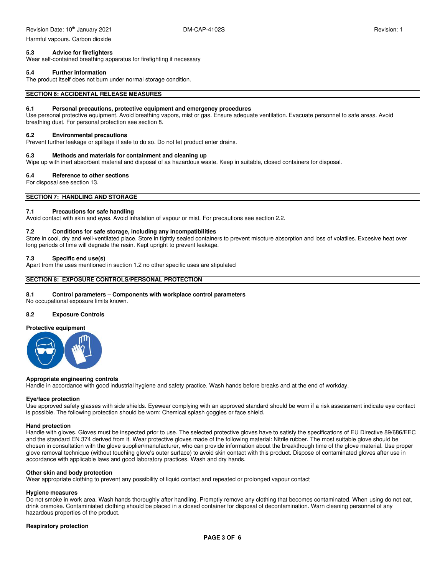Harmful vapours. Carbon dioxide

# **5.3 Advice for firefighters**

Wear self-contained breathing apparatus for firefighting if necessary

#### **5.4 Further information**

The product itself does not burn under normal storage condition.

#### **SECTION 6: ACCIDENTAL RELEASE MEASURES**

#### **6.1 Personal precautions, protective equipment and emergency procedures**

Use personal protective equipment. Avoid breathing vapors, mist or gas. Ensure adequate ventilation. Evacuate personnel to safe areas. Avoid breathing dust. For personal protection see section 8.

#### **6.2 Environmental precautions**

Prevent further leakage or spillage if safe to do so. Do not let product enter drains.

### **6.3 Methods and materials for containment and cleaning up**

Wipe up with inert absorbent material and disposal of as hazardous waste. Keep in suitable, closed containers for disposal.

# **6.4 Reference to other sections**

For disposal see section 13.

# **SECTION 7: HANDLING AND STORAGE**

#### **7.1 Precautions for safe handling**

Avoid contact with skin and eyes. Avoid inhalation of vapour or mist. For precautions see section 2.2.

#### **7.2 Conditions for safe storage, including any incompatibilities**

Store in cool, dry and well-ventilated place. Store in tightly sealed containers to prevent misoture absorption and loss of volatiles. Excesive heat over long periods of time will degrade the resin. Kept upright to prevent leakage.

#### **7.3 Specific end use(s)**

Apart from the uses mentioned in section 1.2 no other specific uses are stipulated

# **SECTION 8: EXPOSURE CONTROLS/PERSONAL PROTECTION**

#### **8.1 Control parameters – Components with workplace control parameters**

No occupational exposure limits known.

#### **8.2 Exposure Controls**





#### **Appropriate engineering controls**

Handle in accordance with good industrial hygiene and safety practice. Wash hands before breaks and at the end of workday.

#### **Eye/face protection**

Use approved safety glasses with side shields. Eyewear complying with an approved standard should be worn if a risk assessment indicate eye contact is possible. The following protection should be worn: Chemical splash goggles or face shield.

#### **Hand protection**

Handle with gloves. Gloves must be inspected prior to use. The selected protective gloves have to satisfy the specifications of EU Directive 89/686/EEC and the standard EN 374 derived from it. Wear protective gloves made of the following material: Nitrile rubber. The most suitable glove should be chosen in consultation with the glove supplier/manufacturer, who can provide information about the breakthough time of the glove material. Use proper glove removal technique (without touching glove's outer surface) to avoid skin contact with this product. Dispose of contaminated gloves after use in accordance with applicable laws and good laboratory practices. Wash and dry hands.

#### **Other skin and body protection**

Wear appropriate clothing to prevent any possibility of liquid contact and repeated or prolonged vapour contact

#### **Hygiene measures**

Do not smoke in work area. Wash hands thoroughly after handling. Promptly remove any clothing that becomes contaminated. When using do not eat, drink orsmoke. Contaminiated clothing should be placed in a closed container for disposal of decontamination. Warn cleaning personnel of any hazardous properties of the product.

#### **Respiratory protection**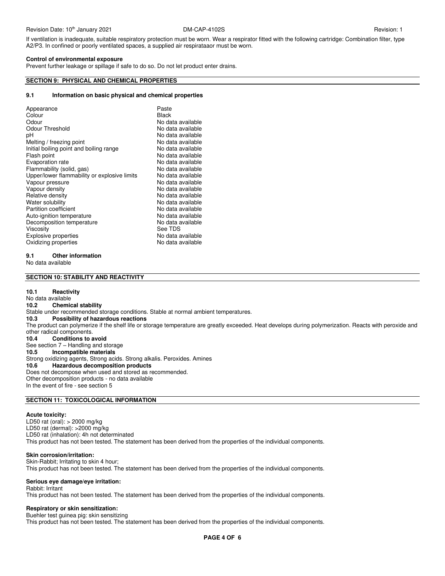If ventilation is inadequate, suitable respiratory protection must be worn. Wear a respirator fitted with the following cartridge: Combination filter, type A2/P3. In confined or poorly ventilated spaces, a supplied air respirataaor must be worn.

#### **Control of environmental exposure**

Prevent further leakage or spillage if safe to do so. Do not let product enter drains.

# **SECTION 9: PHYSICAL AND CHEMICAL PROPERTIES**

### **9.1 Information on basic physical and chemical properties**

| Appearance<br>Colour<br>Odour<br>Odour Threshold<br>рH<br>Melting / freezing point<br>Initial boiling point and boiling range<br>Flash point<br>Evaporation rate<br>Flammability (solid, gas)<br>Upper/lower flammability or explosive limits<br>Vapour pressure<br>Vapour density<br>Relative density<br>Water solubility<br>Partition coefficient<br>Auto-ignition temperature<br>Decomposition temperature<br>Viscosity | Paste<br><b>Black</b><br>No data available<br>No data available<br>No data available<br>No data available<br>No data available<br>No data available<br>No data available<br>No data available<br>No data available<br>No data available<br>No data available<br>No data available<br>No data available<br>No data available<br>No data available<br>No data available<br>See TDS |
|----------------------------------------------------------------------------------------------------------------------------------------------------------------------------------------------------------------------------------------------------------------------------------------------------------------------------------------------------------------------------------------------------------------------------|----------------------------------------------------------------------------------------------------------------------------------------------------------------------------------------------------------------------------------------------------------------------------------------------------------------------------------------------------------------------------------|
| <b>Explosive properties</b>                                                                                                                                                                                                                                                                                                                                                                                                | No data available                                                                                                                                                                                                                                                                                                                                                                |
| Oxidizing properties                                                                                                                                                                                                                                                                                                                                                                                                       | No data available                                                                                                                                                                                                                                                                                                                                                                |

# **9.1 Other information**

No data available

# **SECTION 10: STABILITY AND REACTIVITY**

#### **10.1 Reactivity**

No data available<br>10.2 Chemio **Chemical stability** Stable under recommended storage conditions. Stable at normal ambient temperatures.<br>10.3 Possibility of hazardous reactions **10.3 Possibility of hazardous reactions**  The product can polymerize if the shelf life or storage temperature are greatly exceeded. Heat develops during polymerization. Reacts with peroxide and other radical components. **10.4 Conditions to avoid**  See section 7 – Handling and storage<br>10.5 **Incompatible materials Incompatible materials** Strong oxidizing agents, Strong acids. Strong alkalis. Peroxides. Amines<br>10.6 **Hazardous decomposition products 10.6 Hazardous decomposition products**  Does not decompose when used and stored as recommended. Other decomposition products - no data available In the event of fire - see section 5

# **SECTION 11: TOXICOLOGICAL INFORMATION**

#### **Acute toxicity:**

LD50 rat (oral): > 2000 mg/kg LD50 rat (dermal): >2000 mg/kg LD50 rat (inhalation): 4h not determinated This product has not been tested. The statement has been derived from the properties of the individual components.

### **Skin corrosion/irritation:**

Skin-Rabbit; Irritating to skin 4 hour; This product has not been tested. The statement has been derived from the properties of the individual components.

#### **Serious eye damage/eye irritation:**

Rabbit: Irritant

This product has not been tested. The statement has been derived from the properties of the individual components.

# **Respiratory or skin sensitization:**

Buehler test guinea pig: skin sensitizing This product has not been tested. The statement has been derived from the properties of the individual components.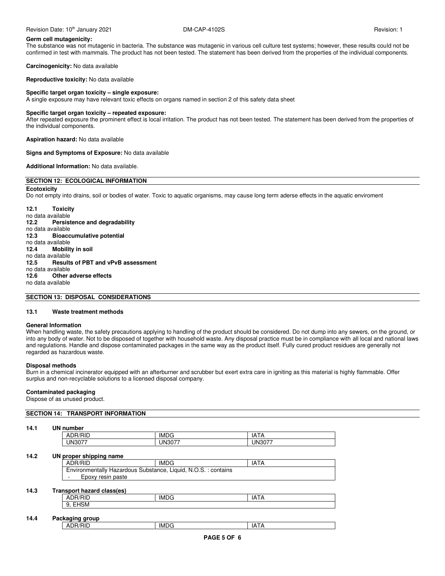Revision Date: 10<sup>th</sup> January 2021 **DM-CAP-4102S Revision: 1** Revision: 1

#### **Germ cell mutagenicity:**

The substance was not mutagenic in bacteria. The substance was mutagenic in various cell culture test systems; however, these results could not be confirmed in test with mammals. The product has not been tested. The statement has been derived from the properties of the individual components.

**Carcinogenicity:** No data available

**Reproductive toxicity:** No data available

#### **Specific target organ toxicity – single exposure:**

A single exposure may have relevant toxic effects on organs named in section 2 of this safety data sheet

#### **Specific target organ toxicity – repeated exposure:**

After repeated exposure the prominent effect is local irritation. The product has not been tested. The statement has been derived from the properties of the individual components.

**Aspiration hazard:** No data available

**Signs and Symptoms of Exposure:** No data available

**Additional Information:** No data available.

# **SECTION 12: ECOLOGICAL INFORMATION**

**Ecotoxicity**  Do not empty into drains, soil or bodies of water. Toxic to aquatic organisms, may cause long term aderse effects in the aquatic enviroment

**12.1 Toxicity**  no data available **12.2 Persistence and degradability**  no data available<br>12.3 **Bioacc 12.3 Bioaccumulative potential**  no data available **12.4 Mobility in soil**  no data available<br>12.5 **Results 12.5 Results of PBT and vPvB assessment**  no data available **12.6 Other adverse effects**  no data available

# **SECTION 13: DISPOSAL CONSIDERATIONS**

#### **13.1 Waste treatment methods**

#### **General Information**

When handling waste, the safety precautions applying to handling of the product should be considered. Do not dump into any sewers, on the ground, or into any body of water. Not to be disposed of together with household waste. Any disposal practice must be in compliance with all local and national laws and regulations. Handle and dispose contaminated packages in the same way as the product itself. Fully cured product residues are generally not regarded as hazardous waste.

#### **Disposal methods**

Burn in a chemical incinerator equipped with an afterburner and scrubber but exert extra care in igniting as this material is highly flammable. Offer surplus and non-recyclable solutions to a licensed disposal company.

# **Contaminated packaging**

Dispose of as unused product.

| 14.1 | UN number                  |                                                               |               |
|------|----------------------------|---------------------------------------------------------------|---------------|
|      | ADR/RID                    | <b>IMDG</b>                                                   | <b>IATA</b>   |
|      | <b>UN3077</b>              | <b>UN3077</b>                                                 | <b>UN3077</b> |
| 14.2 | UN proper shipping name    |                                                               |               |
|      | ADR/RID                    | <b>IMDG</b>                                                   | <b>IATA</b>   |
|      | Epoxy resin paste          | Environmentally Hazardous Substance, Liquid, N.O.S.: contains |               |
|      |                            |                                                               |               |
|      |                            |                                                               |               |
| 14.3 | Transport hazard class(es) |                                                               |               |
|      | ADR/RID                    | <b>IMDG</b>                                                   | <b>IATA</b>   |
|      | 9, EHSM                    |                                                               |               |
|      |                            |                                                               |               |
| 14.4 | Packaging group<br>ADR/RID |                                                               |               |